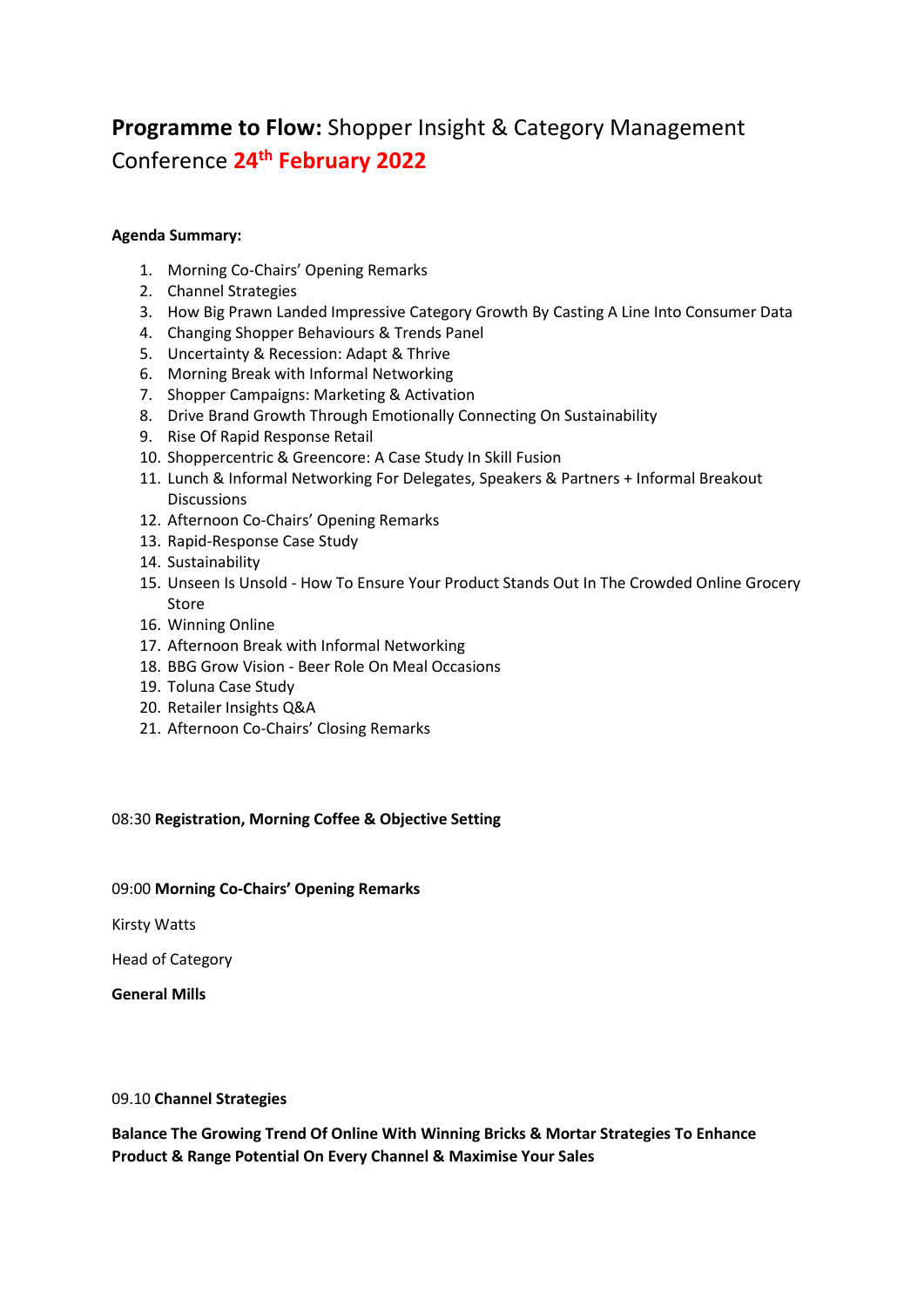# **Programme to Flow:** Shopper Insight & Category Management Conference **24th February 2022**

# **Agenda Summary:**

- 1. Morning Co-Chairs' Opening Remarks
- 2. Channel Strategies
- 3. How Big Prawn Landed Impressive Category Growth By Casting A Line Into Consumer Data
- 4. Changing Shopper Behaviours & Trends Panel
- 5. Uncertainty & Recession: Adapt & Thrive
- 6. Morning Break with Informal Networking
- 7. Shopper Campaigns: Marketing & Activation
- 8. Drive Brand Growth Through Emotionally Connecting On Sustainability
- 9. Rise Of Rapid Response Retail
- 10. Shoppercentric & Greencore: A Case Study In Skill Fusion
- 11. Lunch & Informal Networking For Delegates, Speakers & Partners + Informal Breakout Discussions
- 12. Afternoon Co-Chairs' Opening Remarks
- 13. Rapid-Response Case Study
- 14. Sustainability
- 15. Unseen Is Unsold How To Ensure Your Product Stands Out In The Crowded Online Grocery Store
- 16. Winning Online
- 17. Afternoon Break with Informal Networking
- 18. BBG Grow Vision Beer Role On Meal Occasions
- 19. Toluna Case Study
- 20. Retailer Insights Q&A
- 21. Afternoon Co-Chairs' Closing Remarks

# 08:30 **Registration, Morning Coffee & Objective Setting**

### 09:00 **Morning Co-Chairs' Opening Remarks**

Kirsty Watts

Head of Category

**General Mills**

### 09.10 **Channel Strategies**

**Balance The Growing Trend Of Online With Winning Bricks & Mortar Strategies To Enhance Product & Range Potential On Every Channel & Maximise Your Sales**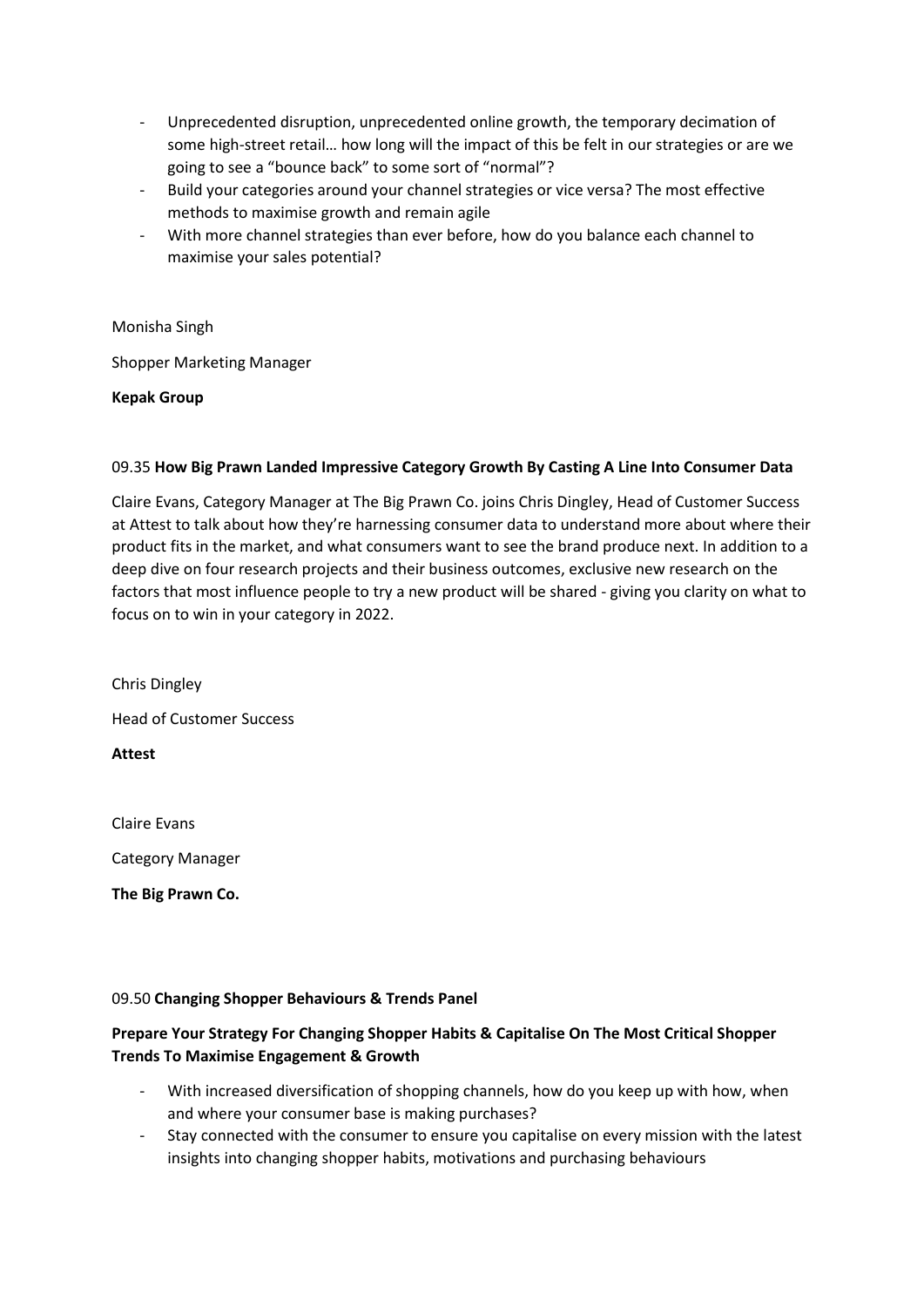- Unprecedented disruption, unprecedented online growth, the temporary decimation of some high-street retail… how long will the impact of this be felt in our strategies or are we going to see a "bounce back" to some sort of "normal"?
- Build your categories around your channel strategies or vice versa? The most effective methods to maximise growth and remain agile
- With more channel strategies than ever before, how do you balance each channel to maximise your sales potential?

Monisha Singh

Shopper Marketing Manager

**Kepak Group**

# 09.35 **How Big Prawn Landed Impressive Category Growth By Casting A Line Into Consumer Data**

Claire Evans, Category Manager at The Big Prawn Co. joins Chris Dingley, Head of Customer Success at Attest to talk about how they're harnessing consumer data to understand more about where their product fits in the market, and what consumers want to see the brand produce next. In addition to a deep dive on four research projects and their business outcomes, exclusive new research on the factors that most influence people to try a new product will be shared - giving you clarity on what to focus on to win in your category in 2022.

Chris Dingley Head of Customer Success

**Attest**

Claire Evans

Category Manager

**The Big Prawn Co.**

# 09.50 **Changing Shopper Behaviours & Trends Panel**

# **Prepare Your Strategy For Changing Shopper Habits & Capitalise On The Most Critical Shopper Trends To Maximise Engagement & Growth**

- With increased diversification of shopping channels, how do you keep up with how, when and where your consumer base is making purchases?
- Stay connected with the consumer to ensure you capitalise on every mission with the latest insights into changing shopper habits, motivations and purchasing behaviours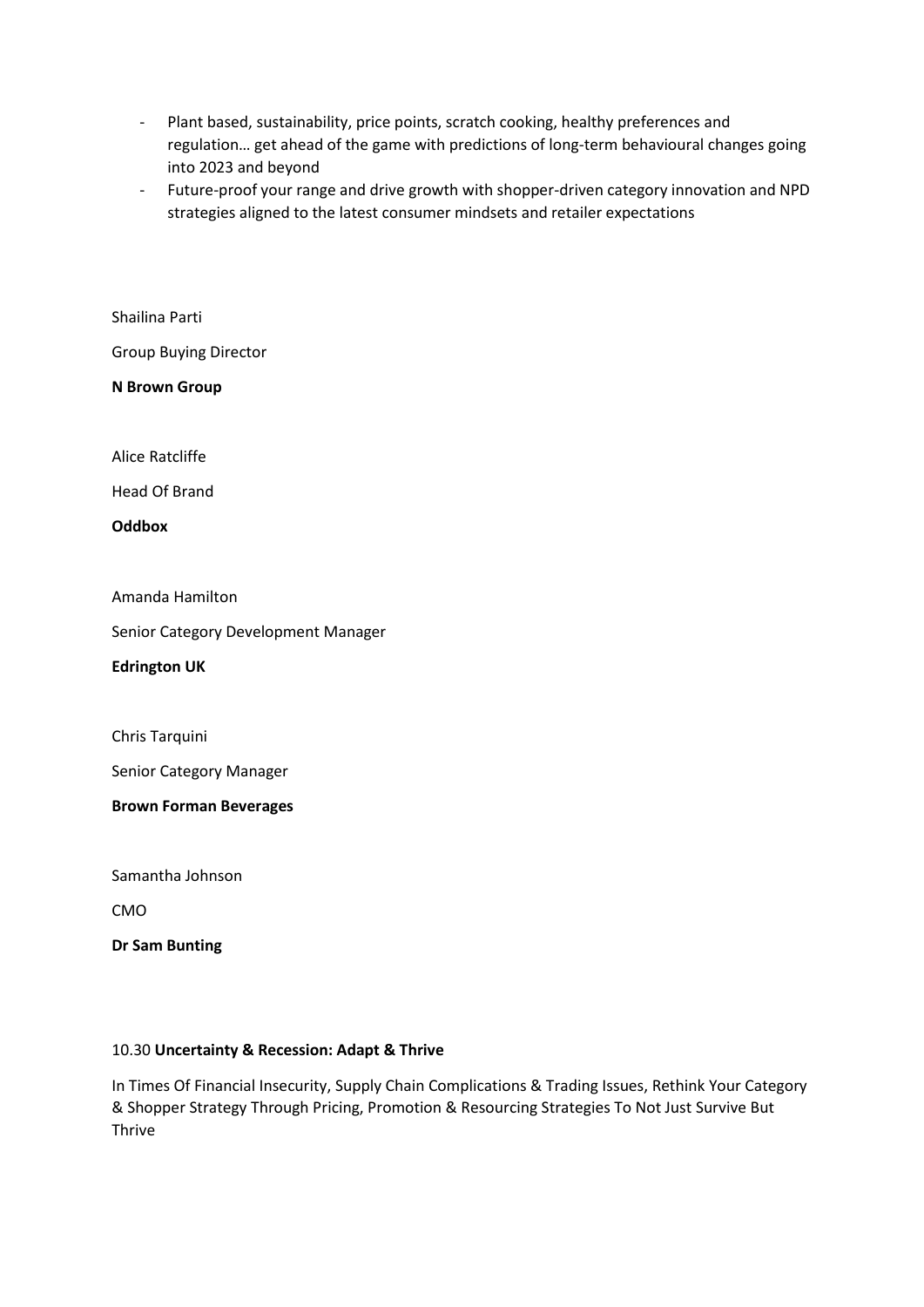- Plant based, sustainability, price points, scratch cooking, healthy preferences and regulation… get ahead of the game with predictions of long-term behavioural changes going into 2023 and beyond
- Future-proof your range and drive growth with shopper-driven category innovation and NPD strategies aligned to the latest consumer mindsets and retailer expectations

Shailina Parti

Group Buying Director

**N Brown Group**

Alice Ratcliffe

Head Of Brand

**Oddbox**

Amanda Hamilton

Senior Category Development Manager

**Edrington UK**

Chris Tarquini

Senior Category Manager

**Brown Forman Beverages**

Samantha Johnson

CMO

**Dr Sam Bunting**

### 10.30 **Uncertainty & Recession: Adapt & Thrive**

In Times Of Financial Insecurity, Supply Chain Complications & Trading Issues, Rethink Your Category & Shopper Strategy Through Pricing, Promotion & Resourcing Strategies To Not Just Survive But Thrive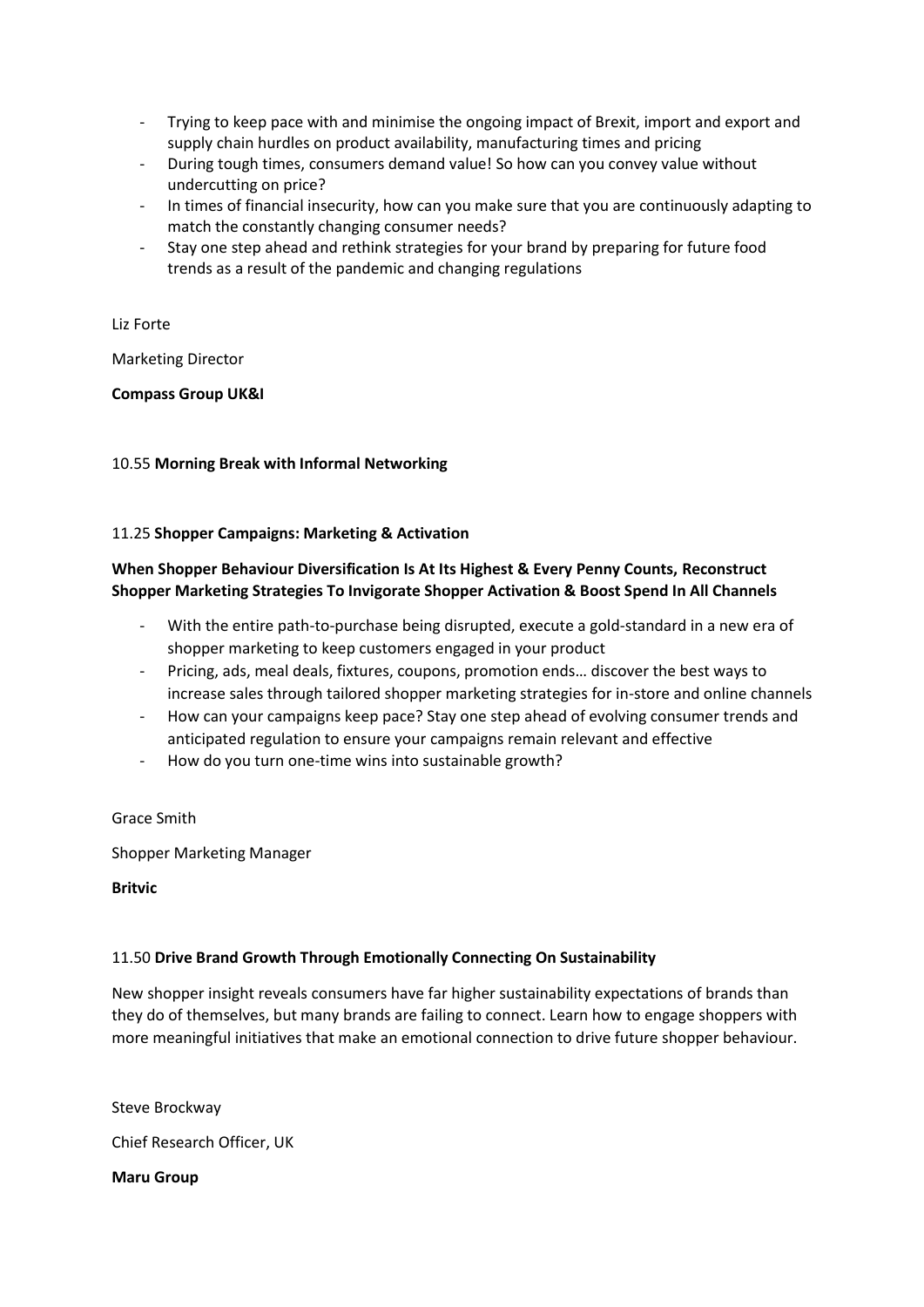- Trying to keep pace with and minimise the ongoing impact of Brexit, import and export and supply chain hurdles on product availability, manufacturing times and pricing
- During tough times, consumers demand value! So how can you convey value without undercutting on price?
- In times of financial insecurity, how can you make sure that you are continuously adapting to match the constantly changing consumer needs?
- Stay one step ahead and rethink strategies for your brand by preparing for future food trends as a result of the pandemic and changing regulations

### Liz Forte

Marketing Director

# **Compass Group UK&I**

# 10.55 **Morning Break with Informal Networking**

# 11.25 **Shopper Campaigns: Marketing & Activation**

# **When Shopper Behaviour Diversification Is At Its Highest & Every Penny Counts, Reconstruct Shopper Marketing Strategies To Invigorate Shopper Activation & Boost Spend In All Channels**

- With the entire path-to-purchase being disrupted, execute a gold-standard in a new era of shopper marketing to keep customers engaged in your product
- Pricing, ads, meal deals, fixtures, coupons, promotion ends... discover the best ways to increase sales through tailored shopper marketing strategies for in-store and online channels
- How can your campaigns keep pace? Stay one step ahead of evolving consumer trends and anticipated regulation to ensure your campaigns remain relevant and effective
- How do you turn one-time wins into sustainable growth?

### Grace Smith

Shopper Marketing Manager

**Britvic** 

# 11.50 **Drive Brand Growth Through Emotionally Connecting On Sustainability**

New shopper insight reveals consumers have far higher sustainability expectations of brands than they do of themselves, but many brands are failing to connect. Learn how to engage shoppers with more meaningful initiatives that make an emotional connection to drive future shopper behaviour.

Steve Brockway Chief Research Officer, UK

**Maru Group**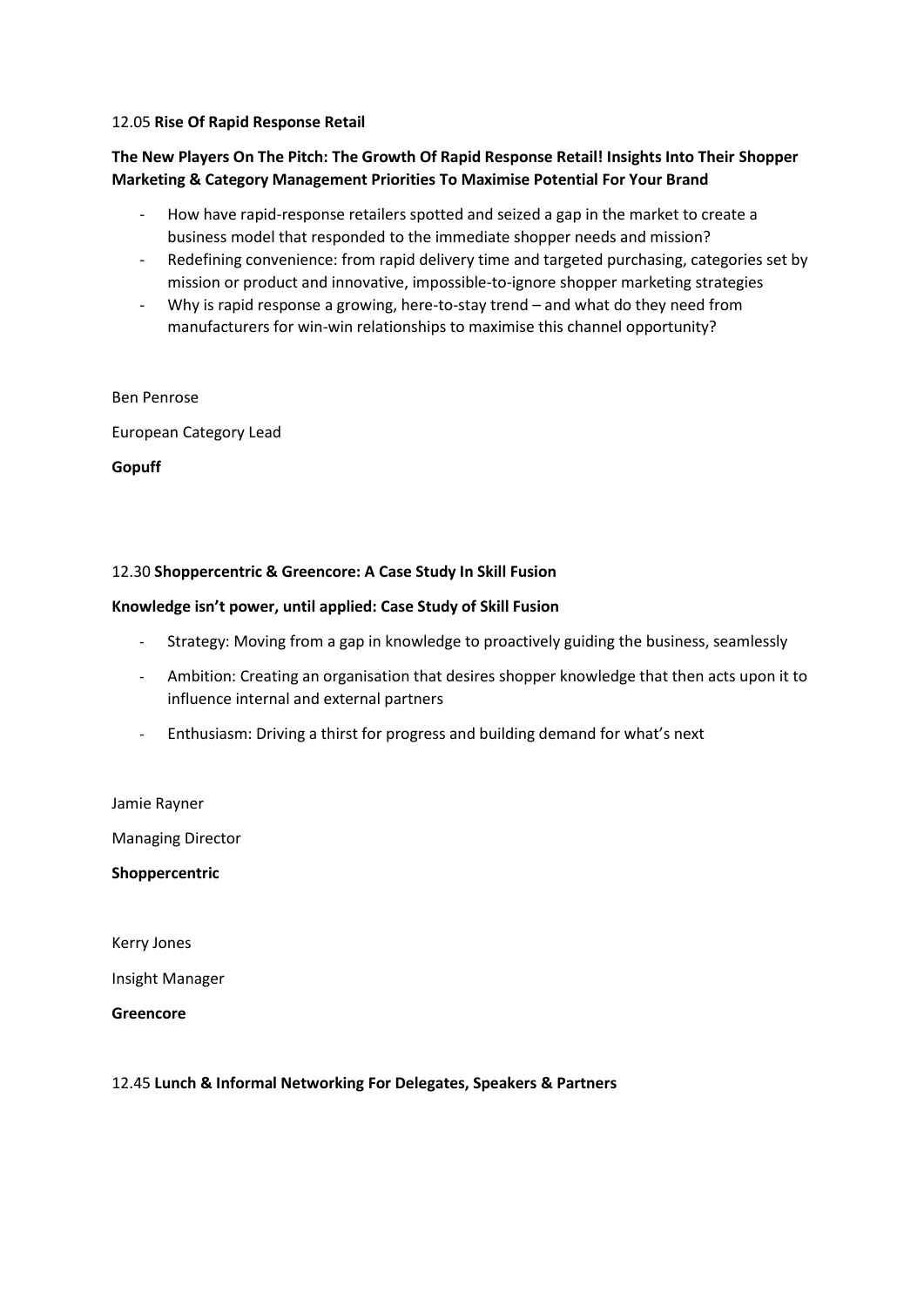#### 12.05 **Rise Of Rapid Response Retail**

# **The New Players On The Pitch: The Growth Of Rapid Response Retail! Insights Into Their Shopper Marketing & Category Management Priorities To Maximise Potential For Your Brand**

- How have rapid-response retailers spotted and seized a gap in the market to create a business model that responded to the immediate shopper needs and mission?
- Redefining convenience: from rapid delivery time and targeted purchasing, categories set by mission or product and innovative, impossible-to-ignore shopper marketing strategies
- Why is rapid response a growing, here-to-stay trend and what do they need from manufacturers for win-win relationships to maximise this channel opportunity?

#### Ben Penrose

European Category Lead

**Gopuff**

### 12.30 **Shoppercentric & Greencore: A Case Study In Skill Fusion**

### **Knowledge isn't power, until applied: Case Study of Skill Fusion**

- Strategy: Moving from a gap in knowledge to proactively guiding the business, seamlessly
- Ambition: Creating an organisation that desires shopper knowledge that then acts upon it to influence internal and external partners
- Enthusiasm: Driving a thirst for progress and building demand for what's next

Jamie Rayner

Managing Director

**Shoppercentric**

Kerry Jones

Insight Manager

**Greencore**

#### 12.45 **Lunch & Informal Networking For Delegates, Speakers & Partners**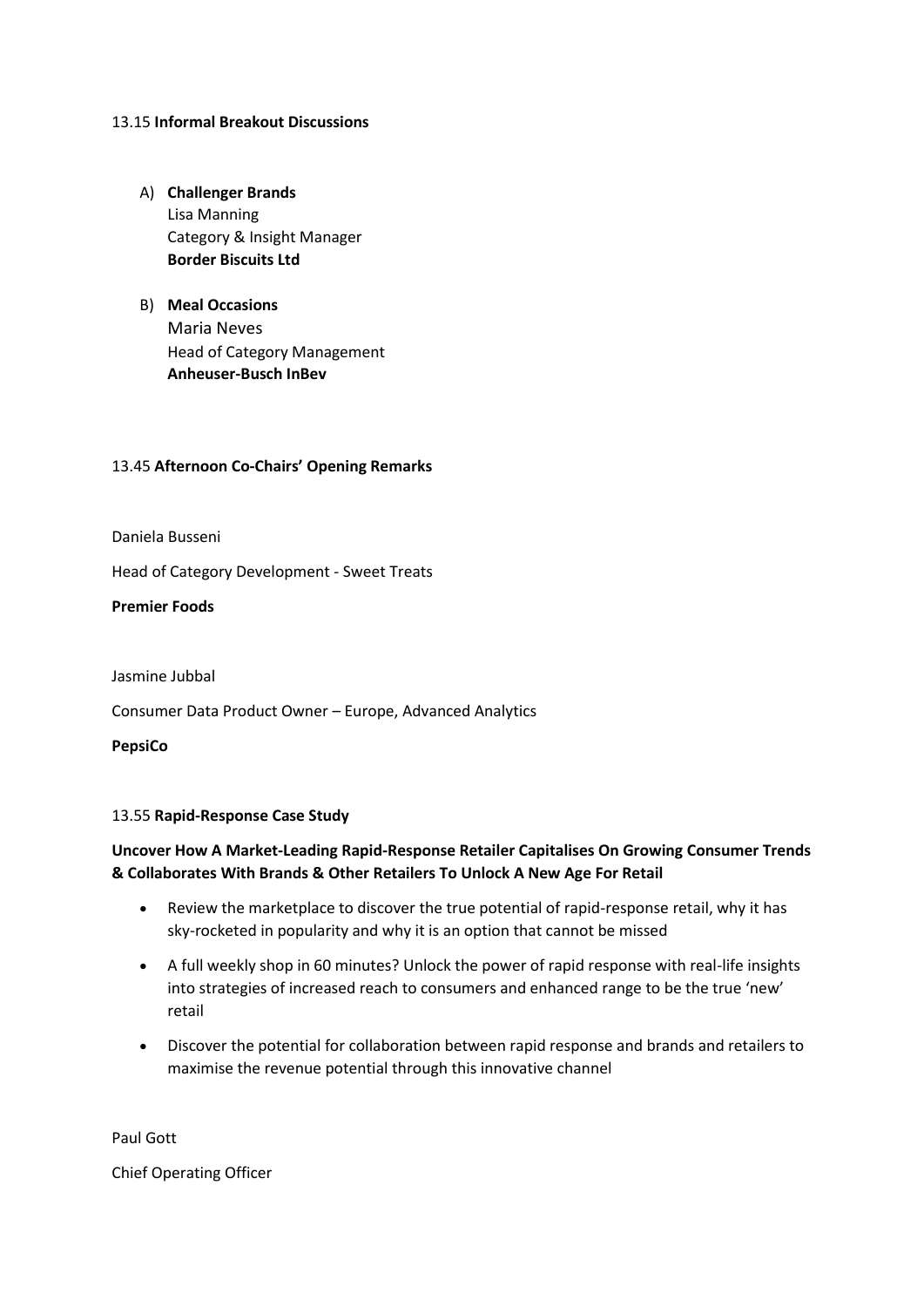### 13.15 **Informal Breakout Discussions**

- A) **Challenger Brands** Lisa Manning Category & Insight Manager **Border Biscuits Ltd**
- B) **Meal Occasions** Maria Neves Head of Category Management **Anheuser-Busch InBev**

### 13.45 **Afternoon Co-Chairs' Opening Remarks**

Daniela Busseni

Head of Category Development - Sweet Treats

**Premier Foods**

Jasmine Jubbal

Consumer Data Product Owner – Europe, Advanced Analytics

**PepsiCo**

### 13.55 **Rapid-Response Case Study**

# **Uncover How A Market-Leading Rapid-Response Retailer Capitalises On Growing Consumer Trends & Collaborates With Brands & Other Retailers To Unlock A New Age For Retail**

- Review the marketplace to discover the true potential of rapid-response retail, why it has sky-rocketed in popularity and why it is an option that cannot be missed
- A full weekly shop in 60 minutes? Unlock the power of rapid response with real-life insights into strategies of increased reach to consumers and enhanced range to be the true 'new' retail
- Discover the potential for collaboration between rapid response and brands and retailers to maximise the revenue potential through this innovative channel

Paul Gott

Chief Operating Officer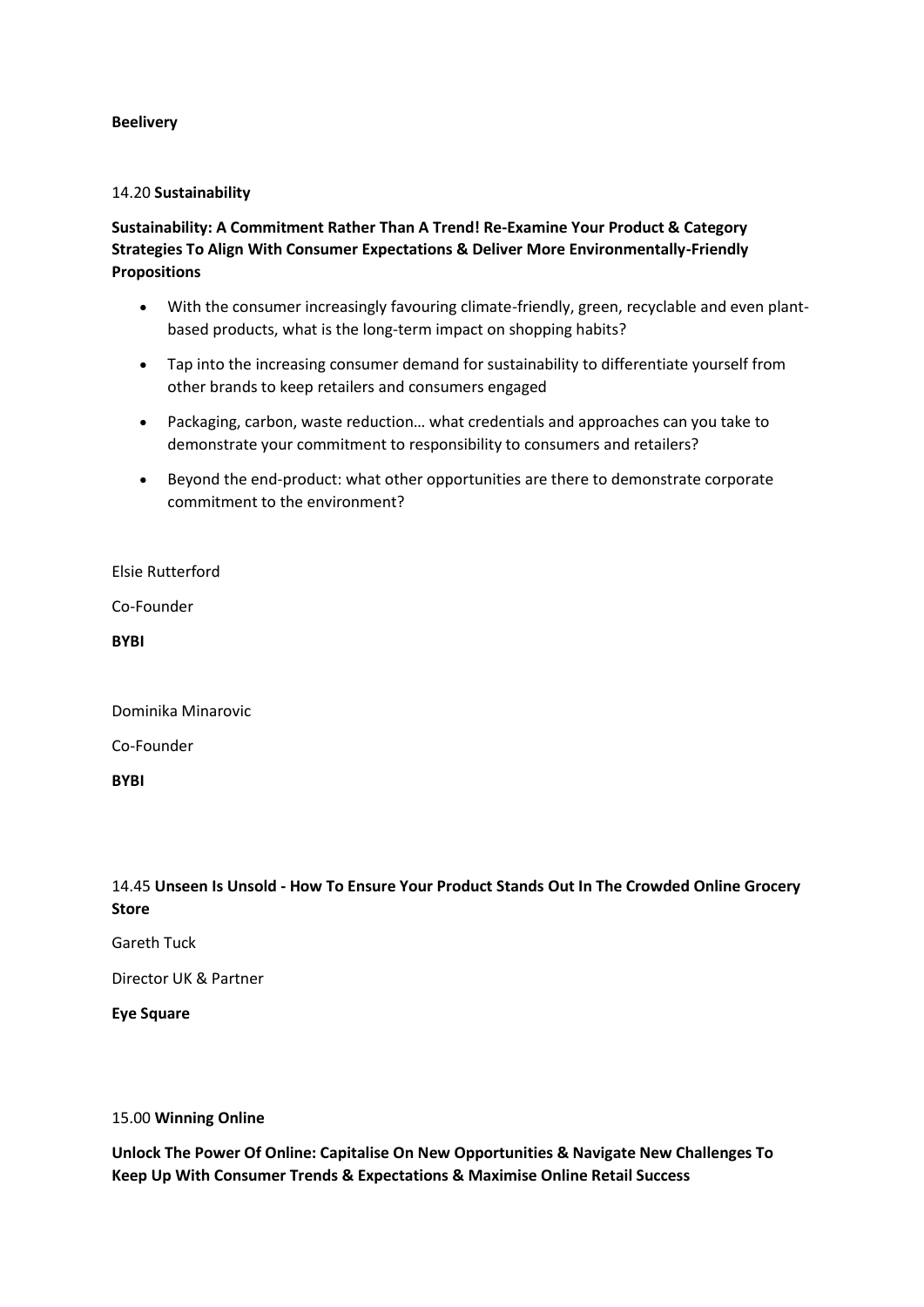### **Beelivery**

### 14.20 **Sustainability**

# **Sustainability: A Commitment Rather Than A Trend! Re-Examine Your Product & Category Strategies To Align With Consumer Expectations & Deliver More Environmentally-Friendly Propositions**

- With the consumer increasingly favouring climate-friendly, green, recyclable and even plantbased products, what is the long-term impact on shopping habits?
- Tap into the increasing consumer demand for sustainability to differentiate yourself from other brands to keep retailers and consumers engaged
- Packaging, carbon, waste reduction… what credentials and approaches can you take to demonstrate your commitment to responsibility to consumers and retailers?
- Beyond the end-product: what other opportunities are there to demonstrate corporate commitment to the environment?

Elsie Rutterford

Co-Founder

**BYBI**

Dominika Minarovic

Co-Founder

**BYBI**

14.45 **Unseen Is Unsold - How To Ensure Your Product Stands Out In The Crowded Online Grocery Store**

Gareth Tuck

Director UK & Partner

**Eye Square**

#### 15.00 **Winning Online**

**Unlock The Power Of Online: Capitalise On New Opportunities & Navigate New Challenges To Keep Up With Consumer Trends & Expectations & Maximise Online Retail Success**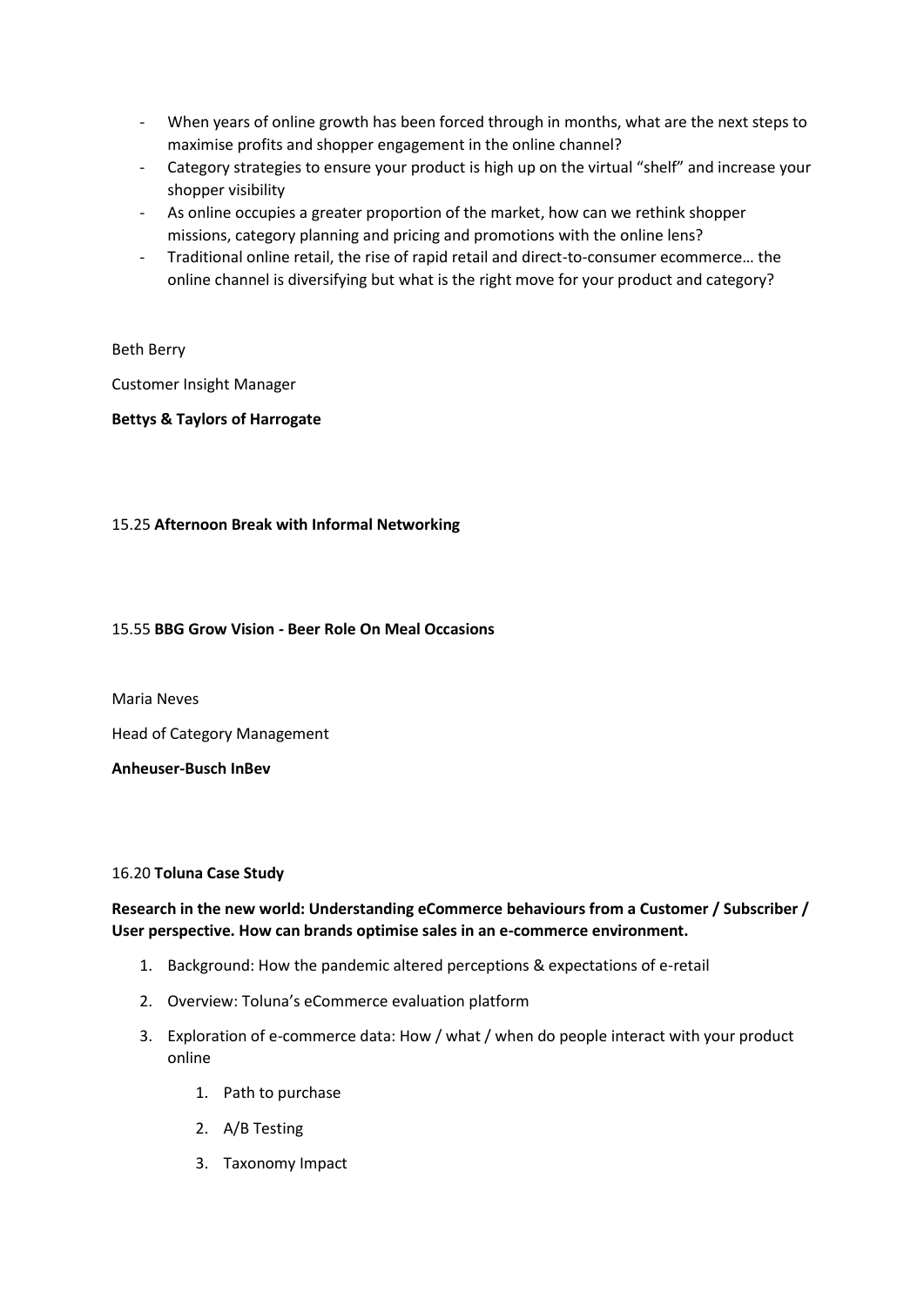- When years of online growth has been forced through in months, what are the next steps to maximise profits and shopper engagement in the online channel?
- Category strategies to ensure your product is high up on the virtual "shelf" and increase your shopper visibility
- As online occupies a greater proportion of the market, how can we rethink shopper missions, category planning and pricing and promotions with the online lens?
- Traditional online retail, the rise of rapid retail and direct-to-consumer ecommerce… the online channel is diversifying but what is the right move for your product and category?

# Beth Berry

Customer Insight Manager

# **Bettys & Taylors of Harrogate**

# 15.25 **Afternoon Break with Informal Networking**

# 15.55 **BBG Grow Vision - Beer Role On Meal Occasions**

Maria Neves

Head of Category Management

**Anheuser-Busch InBev**

# 16.20 **Toluna Case Study**

# **Research in the new world: Understanding eCommerce behaviours from a Customer / Subscriber / User perspective. How can brands optimise sales in an e-commerce environment.**

- 1. Background: How the pandemic altered perceptions & expectations of e-retail
- 2. Overview: Toluna's eCommerce evaluation platform
- 3. Exploration of e-commerce data: How / what / when do people interact with your product online
	- 1. Path to purchase
	- 2. A/B Testing
	- 3. Taxonomy Impact